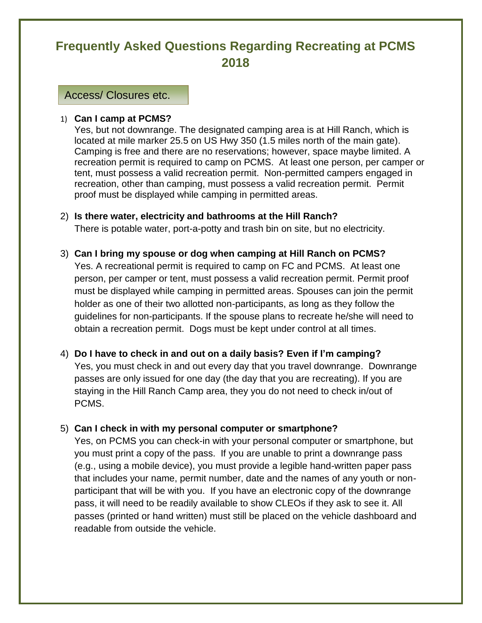# **Frequently Asked Questions Regarding Recreating at PCMS 2018**

Access/ Closures etc.

#### 1) **Can I camp at PCMS?**

Yes, but not downrange. The designated camping area is at Hill Ranch, which is located at mile marker 25.5 on US Hwy 350 (1.5 miles north of the main gate). Camping is free and there are no reservations; however, space maybe limited. A recreation permit is required to camp on PCMS. At least one person, per camper or tent, must possess a valid recreation permit. Non-permitted campers engaged in recreation, other than camping, must possess a valid recreation permit. Permit proof must be displayed while camping in permitted areas.

- 2) **Is there water, electricity and bathrooms at the Hill Ranch?** There is potable water, port-a-potty and trash bin on site, but no electricity.
- 3) **Can I bring my spouse or dog when camping at Hill Ranch on PCMS?** Yes. A recreational permit is required to camp on FC and PCMS. At least one person, per camper or tent, must possess a valid recreation permit. Permit proof must be displayed while camping in permitted areas. Spouses can join the permit holder as one of their two allotted non-participants, as long as they follow the guidelines for non-participants. If the spouse plans to recreate he/she will need to obtain a recreation permit. Dogs must be kept under control at all times.
- 4) **Do I have to check in and out on a daily basis? Even if I'm camping?** Yes, you must check in and out every day that you travel downrange. Downrange passes are only issued for one day (the day that you are recreating). If you are staying in the Hill Ranch Camp area, they you do not need to check in/out of PCMS.

#### 5) **Can I check in with my personal computer or smartphone?**

Yes, on PCMS you can check-in with your personal computer or smartphone, but you must print a copy of the pass. If you are unable to print a downrange pass (e.g., using a mobile device), you must provide a legible hand-written paper pass that includes your name, permit number, date and the names of any youth or nonparticipant that will be with you. If you have an electronic copy of the downrange pass, it will need to be readily available to show CLEOs if they ask to see it. All passes (printed or hand written) must still be placed on the vehicle dashboard and readable from outside the vehicle.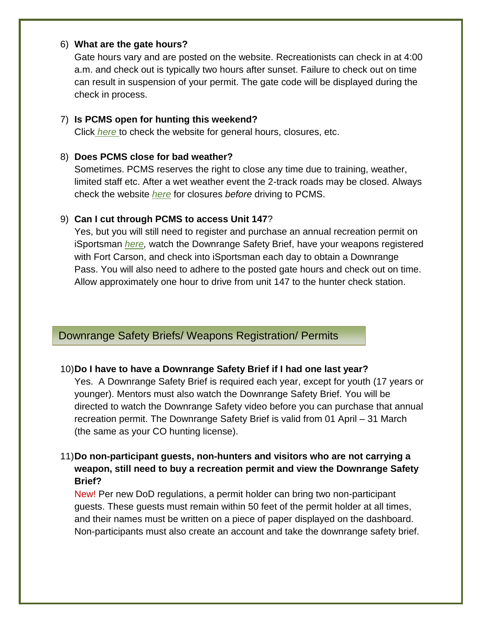### 6) **What are the gate hours?**

Gate hours vary and are posted on the website. Recreationists can check in at 4:00 a.m. and check out is typically two hours after sunset. Failure to check out on time can result in suspension of your permit. The gate code will be displayed during the check in process.

#### 7) **Is PCMS open for hunting this weekend?**

Click *[here](https://fortcarson.isportsman.net/pcmsinfo.aspx)* to check the website for general hours, closures, etc.

### 8) **Does PCMS close for bad weather?**

Sometimes. PCMS reserves the right to close any time due to training, weather, limited staff etc. After a wet weather event the 2-track roads may be closed. Always check the website *[here](https://fortcarson.isportsman.net/pcmsinfo.aspx)* for closures *before* driving to PCMS.

### 9) **Can I cut through PCMS to access Unit 147**?

Yes, but you will still need to register and purchase an annual recreation permit on iSportsman *[here,](https://fortcarson.isportsman.net/Login.aspx#Register)* watch the Downrange Safety Brief, have your weapons registered with Fort Carson, and check into iSportsman each day to obtain a Downrange Pass. You will also need to adhere to the posted gate hours and check out on time. Allow approximately one hour to drive from unit 147 to the hunter check station.

# Downrange Safety Briefs/ Weapons Registration/ Permits

### 10)**Do I have to have a Downrange Safety Brief if I had one last year?**

Yes. A Downrange Safety Brief is required each year, except for youth (17 years or younger). Mentors must also watch the Downrange Safety Brief. You will be directed to watch the Downrange Safety video before you can purchase that annual recreation permit. The Downrange Safety Brief is valid from 01 April – 31 March (the same as your CO hunting license).

# 11)**Do non-participant guests, non-hunters and visitors who are not carrying a weapon, still need to buy a recreation permit and view the Downrange Safety Brief?**

New! Per new DoD regulations, a permit holder can bring two non-participant guests. These guests must remain within 50 feet of the permit holder at all times, and their names must be written on a piece of paper displayed on the dashboard. Non-participants must also create an account and take the downrange safety brief.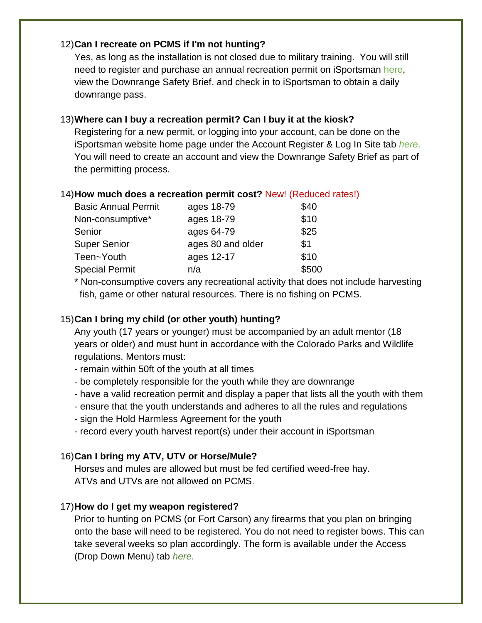### 12)**Can I recreate on PCMS if I'm not hunting?**

Yes, as long as the installation is not closed due to military training. You will still need to register and purchase an annual recreation permit on iSportsman [here,](https://fortcarson.isportsman.net/Login.aspx#Register) view the Downrange Safety Brief, and check in to iSportsman to obtain a daily downrange pass.

# 13)**Where can I buy a recreation permit? Can I buy it at the kiosk?**

Registering for a new permit, or logging into your account, can be done on the iSportsman website home page under the Account Register & Log In Site tab *[here](https://fortcarson.isportsman.net/access.aspx)*. You will need to create an account and view the Downrange Safety Brief as part of the permitting process.

### 14)**How much does a recreation permit cost?** New! (Reduced rates!)

| <b>Basic Annual Permit</b> | ages 18-79        | \$40  |
|----------------------------|-------------------|-------|
| Non-consumptive*           | ages 18-79        | \$10  |
| Senior                     | ages 64-79        | \$25  |
| <b>Super Senior</b>        | ages 80 and older | \$1   |
| Teen~Youth                 | ages 12-17        | \$10  |
| <b>Special Permit</b>      | n/a               | \$500 |
|                            |                   |       |

\* Non-consumptive covers any recreational activity that does not include harvesting fish, game or other natural resources. There is no fishing on PCMS.

### 15)**Can I bring my child (or other youth) hunting?**

Any youth (17 years or younger) must be accompanied by an adult mentor (18 years or older) and must hunt in accordance with the Colorado Parks and Wildlife regulations. Mentors must:

- remain within 50ft of the youth at all times
- be completely responsible for the youth while they are downrange
- have a valid recreation permit and display a paper that lists all the youth with them
- ensure that the youth understands and adheres to all the rules and regulations
- sign the Hold Harmless Agreement for the youth
- record every youth harvest report(s) under their account in iSportsman

# 16)**Can I bring my ATV, UTV or Horse/Mule?**

Horses and mules are allowed but must be fed certified weed-free hay. ATVs and UTVs are not allowed on PCMS.

### 17)**How do I get my weapon registered?**

Prior to hunting on PCMS (or Fort Carson) any firearms that you plan on bringing onto the base will need to be registered. You do not need to register bows. This can take several weeks so plan accordingly. The form is available under the Access (Drop Down Menu) tab *[here.](https://fortcarson.isportsman.net/FireArmRegistration.aspx)*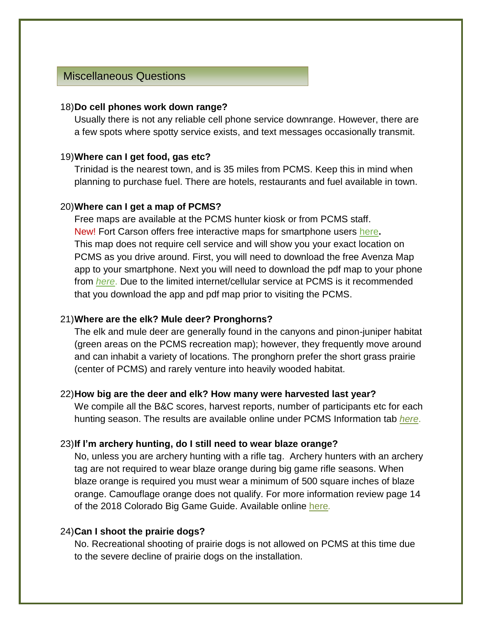# Miscellaneous Questions

#### 18)**Do cell phones work down range?**

Usually there is not any reliable cell phone service downrange. However, there are a few spots where spotty service exists, and text messages occasionally transmit.

#### 19)**Where can I get food, gas etc?**

Trinidad is the nearest town, and is 35 miles from PCMS. Keep this in mind when planning to purchase fuel. There are hotels, restaurants and fuel available in town.

#### 20)**Where can I get a map of PCMS?**

Free maps are available at the PCMS hunter kiosk or from PCMS staff. New! Fort Carson offers free interactive maps for smartphone users [here](https://fortcarson.isportsman.net/maps&navigation.aspx)**.** This map does not require cell service and will show you your exact location on PCMS as you drive around. First, you will need to download the free Avenza Map app to your smartphone. Next you will need to download the pdf map to your phone from *[here](https://fortcarson.isportsman.net/maps&navigation.aspx)*. Due to the limited internet/cellular service at PCMS is it recommended that you download the app and pdf map prior to visiting the PCMS.

#### 21)**Where are the elk? Mule deer? Pronghorns?**

The elk and mule deer are generally found in the canyons and pinon-juniper habitat (green areas on the PCMS recreation map); however, they frequently move around and can inhabit a variety of locations. The pronghorn prefer the short grass prairie (center of PCMS) and rarely venture into heavily wooded habitat.

#### 22)**How big are the deer and elk? How many were harvested last year?**

We compile all the B&C scores, harvest reports, number of participants etc for each hunting season. The results are available online under PCMS Information tab *[here](https://fortcarson.isportsman.net/pcmsinfo.aspx)*.

#### 23)**If I'm archery hunting, do I still need to wear blaze orange?**

No, unless you are archery hunting with a rifle tag. Archery hunters with an archery tag are not required to wear blaze orange during big game rifle seasons. When blaze orange is required you must wear a minimum of 500 square inches of blaze orange. Camouflage orange does not qualify. For more information review page 14 of the 2018 Colorado Big Game Guide. Available online [here](https://cpw.state.co.us/Documents/RulesRegs/Brochure/BigGame/biggame.pdf)*.*

#### 24)**Can I shoot the prairie dogs?**

No. Recreational shooting of prairie dogs is not allowed on PCMS at this time due to the severe decline of prairie dogs on the installation.